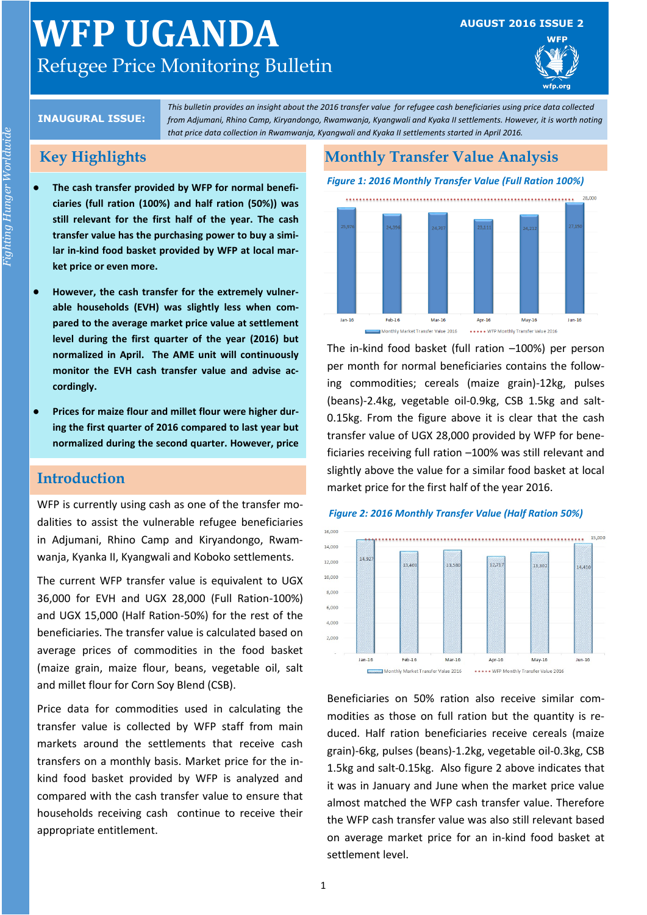# **WFP UGANDA** Refugee Price Monitoring Bulletin

#### **AUGUST 2016 ISSUE 2**



#### **INAUGURAL ISSUE:**

*This bulletin provides an insight about the 2016 transfer value for refugee cash beneficiaries using price data collected from Adjumani, Rhino Camp, Kiryandongo, Rwamwanja, Kyangwali and Kyaka II settlements. However, it is worth noting that price data collection in Rwamwanja, Kyangwali and Kyaka II settlements started in April 2016.*

# **Key Highlights**

- **The cash transfer provided by WFP for normal beneficiaries (full ration (100%) and half ration (50%)) was still relevant for the first half of the year. The cash transfer value has the purchasing power to buy a similar in-kind food basket provided by WFP at local market price or even more.**
- **However, the cash transfer for the extremely vulnerable households (EVH) was slightly less when compared to the average market price value at settlement level during the first quarter of the year (2016) but normalized in April. The AME unit will continuously monitor the EVH cash transfer value and advise accordingly.**
- **Prices for maize flour and millet flour were higher during the first quarter of 2016 compared to last year but normalized during the second quarter. However, price**

# **Introduction**

WFP is currently using cash as one of the transfer modalities to assist the vulnerable refugee beneficiaries in Adjumani, Rhino Camp and Kiryandongo, Rwamwanja, Kyanka II, Kyangwali and Koboko settlements.

The current WFP transfer value is equivalent to UGX 36,000 for EVH and UGX 28,000 (Full Ration-100%) and UGX 15,000 (Half Ration-50%) for the rest of the beneficiaries. The transfer value is calculated based on average prices of commodities in the food basket (maize grain, maize flour, beans, vegetable oil, salt and millet flour for Corn Soy Blend (CSB).

Price data for commodities used in calculating the transfer value is collected by WFP staff from main markets around the settlements that receive cash transfers on a monthly basis. Market price for the inkind food basket provided by WFP is analyzed and compared with the cash transfer value to ensure that households receiving cash continue to receive their appropriate entitlement.

# **Monthly Transfer Value Analysis**

#### *Figure 1: 2016 Monthly Transfer Value (Full Ration 100%)*



The in-kind food basket (full ration –100%) per person per month for normal beneficiaries contains the following commodities; cereals (maize grain)-12kg, pulses (beans)-2.4kg, vegetable oil-0.9kg, CSB 1.5kg and salt-0.15kg. From the figure above it is clear that the cash transfer value of UGX 28,000 provided by WFP for beneficiaries receiving full ration –100% was still relevant and slightly above the value for a similar food basket at local market price for the first half of the year 2016.

#### *Figure 2: 2016 Monthly Transfer Value (Half Ration 50%)*



Beneficiaries on 50% ration also receive similar commodities as those on full ration but the quantity is reduced. Half ration beneficiaries receive cereals (maize grain)-6kg, pulses (beans)-1.2kg, vegetable oil-0.3kg, CSB 1.5kg and salt-0.15kg. Also figure 2 above indicates that it was in January and June when the market price value almost matched the WFP cash transfer value. Therefore the WFP cash transfer value was also still relevant based on average market price for an in-kind food basket at settlement level.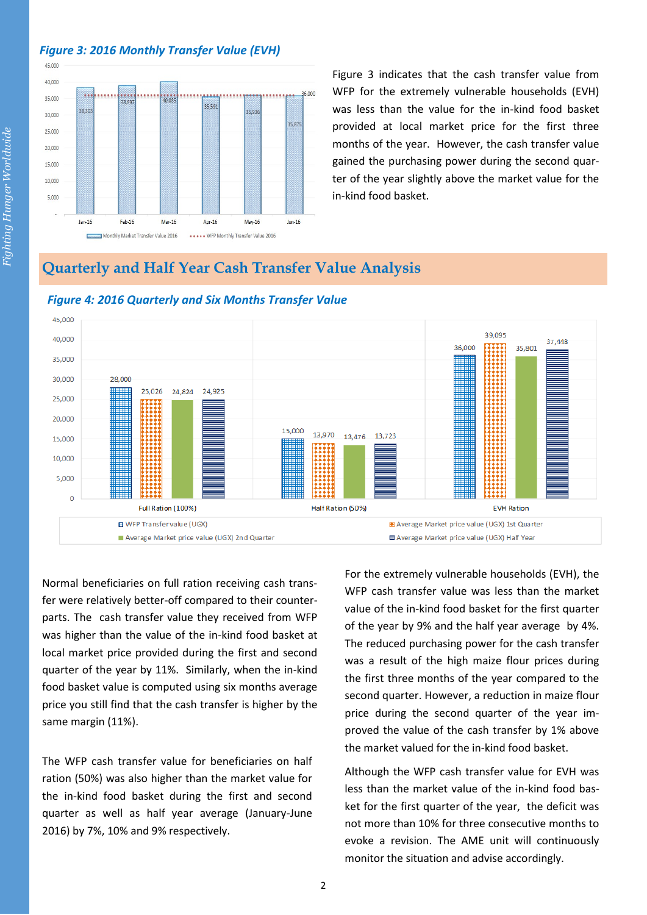## *Figure 3: 2016 Monthly Transfer Value (EVH)*



Figure 3 indicates that the cash transfer value from WFP for the extremely vulnerable households (EVH) was less than the value for the in-kind food basket provided at local market price for the first three months of the year. However, the cash transfer value gained the purchasing power during the second quarter of the year slightly above the market value for the in-kind food basket.

# **Quarterly and Half Year Cash Transfer Value Analysis**



#### *Figure 4: 2016 Quarterly and Six Months Transfer Value*

Normal beneficiaries on full ration receiving cash transfer were relatively better-off compared to their counterparts. The cash transfer value they received from WFP was higher than the value of the in-kind food basket at local market price provided during the first and second quarter of the year by 11%. Similarly, when the in-kind food basket value is computed using six months average price you still find that the cash transfer is higher by the same margin (11%).

The WFP cash transfer value for beneficiaries on half ration (50%) was also higher than the market value for the in-kind food basket during the first and second quarter as well as half year average (January-June 2016) by 7%, 10% and 9% respectively.

For the extremely vulnerable households (EVH), the WFP cash transfer value was less than the market value of the in-kind food basket for the first quarter of the year by 9% and the half year average by 4%. The reduced purchasing power for the cash transfer was a result of the high maize flour prices during the first three months of the year compared to the second quarter. However, a reduction in maize flour price during the second quarter of the year improved the value of the cash transfer by 1% above the market valued for the in-kind food basket.

Although the WFP cash transfer value for EVH was less than the market value of the in-kind food basket for the first quarter of the year, the deficit was not more than 10% for three consecutive months to evoke a revision. The AME unit will continuously monitor the situation and advise accordingly.